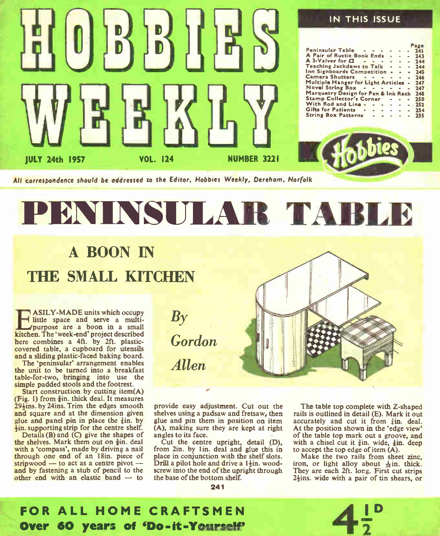

# PENINSULAR TA

## A BOON IN THE SMALL KITCHEN

**EXAMPLE UNITE SIDE STARF AND EXAMPLE SIDE AND STARF AND STARF AND STARF AND STARF AND STARF AND STARF AND STARF AND STARF AND STARF AND STARF AND STARF AND STARF AND STARF AND STARF AND STARF AND STARF AND STARF AND STARF** ASILY-MADE units which occupy little space and serve a multipurpose are a boon in a small here combines a 4ft. by 2ft. plasticcovered table, a cupboard for utensils and a sliding plastic-faced baking board.

The 'peninsular' arrangement enables the unit to be turned into a breakfast table-for-two, bringing into use the simple padded stools and the footrest.

Start construction by cutting item(A) (Fig. 1) from  $\frac{3}{2}$ in, thick deal. It measures  $29\frac{1}{2}$ ins. by 24 ins. Trim the edges smooth and square and at the dimension given glue and panel pin in place the  $\frac{3}{4}$ in. by ¡in. supporting strip for the centre shelf.

Details  $(B)$  and  $(C)$  give the shapes of the shelves. Mark them out on  $\frac{3}{2}$ in, deal with a 'compass', made by driving a nail through one end of an 18in. piece of stripwood — to act as a centre pivot and by fastening a stub of pencil to the other end with an elastic band — to

Gordon Allen

 $\mathbf{B}\mathbf{y}$ 

provide easy adjustment. Cut out the shelves using a padsaw and fretsaw, then glue and pin them in position on item (A), making sure they are kept at right angles to its face.

Cut the centre upright, detail (D), from 2in. by 1in. deal and glue this in place in conjunction with the shelf slots. Drill a pilot hole and drive a 1<sup>1</sup>in. woodscrew into the end of the upright through the base of the bottom shelf.

241

The table top complete with Z-shaped rails is outlined in detail (E). Mark it out accurately and cut it from  $\frac{3}{2}$ in. deal. At the position shown in the 'edge view' of the table top mark out a groove, and with a chisel cut it  $\frac{3}{4}$ in. wide,  $\frac{1}{4}$ in. deep to accept the top edge of item (A).

Make the two rails from sheet zinc, iron, or light alloy about  $\frac{1}{16}$  in. thick. They are each 2ft. long. First cut strips  $2\frac{1}{2}$ ins. wide with a pair of tin shears, or



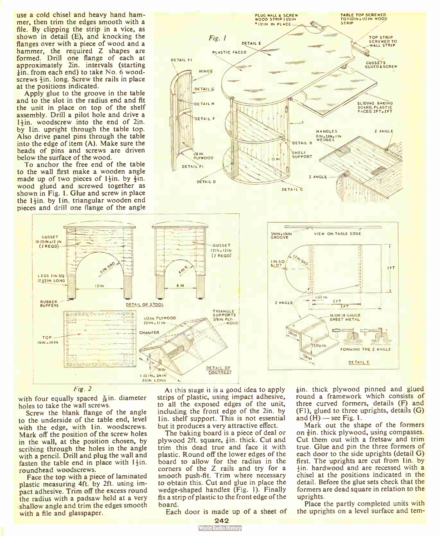use a cold chisel and heavy hand hammer, then trim the edges smooth with a file. By clipping the strip in a vice, as shown in detail (E), and knocking the flanges over with a piece of wood and a hammer, the required Z shapes are formed. Drill one flange of each at approximately 2in. intervals (starting lin. from each end) to take No. 6 woodscrews  $\frac{1}{2}$ in. long. Screw the rails in place at the positions indicated.

Apply glue to the groove in the table and to the slot in the radius end and fit the unit in place on top of the shelf assembly. Drill a pilot hole and drive a 1<sup>4</sup>in. woodscrew into the end of 2in. by lin, upright through the table top. Also drive panel pins through the table into the edge of item (A). Make sure the heads of pins and screws are driven below the surface of the wood.

To anchor the free end of the table to the wall first make a wooden angle made up of two pieces of  $1\frac{1}{2}$ in. by  $\frac{1}{2}$ in. wood glued and screwed together as shown in Fig. I. Glue and screw in place the  $1 + in$ . by  $1 in.$  triangular wooden end pieces and drill one flange of the angle





with four equally spaced  $\frac{3}{16}$ in. diameter holes to take the wall screws.

Screw the blank flange of the angle to the underside of the table end, level with the edge, with lin. woodscrews. Mark off the position of the screw holes in the wall, at the position chosen, by scribing through the holes in the angle with a pencil. Drill and plug the wall and fasten the table end in place with  $1\frac{1}{2}$ in. roundhead woodscrews.

Face the top with a piece of laminated plastic measuring 4ft. by 2ft. using impact adhesive. Trim off the excess round the radius with a padsaw held at a very shallow angle and trim the edges smooth with a file and glasspaper.

At this stage it is a good idea to apply strips of plastic, using impact adhesive, to all the exposed edges of the unit, including the front edge of the 2in. by lin, shelf support. This is not essential but it produces a very attractive effect.

The baking board is a piece of deal or plywood 2ft. square,  $\frac{3}{4}$ in. thick. Cut and trim this dead true and face it with plastic. Round off the lower edges of the board to allow for the radius in the corners of the Z rails and try for a smooth push-fit. Trim where necessary to obtain this. Cut and glue in place the wedge-shaped handles (Fig. 1). Finally fix a strip of plastic to the front edge of the board.

Each door is made up of a sheet of

 $\frac{1}{2}$ in, thick plywood pinned and glued round a framework which consists of three curved formers, details (F) and  $(F1)$ , glued to three uprights, details  $(G)$ and  $(H)$  — see Fig. 1.

FORMING THE Z ANGLE DETAIL E

 $2FT$ 

VIEW ON TABLE EDGE

**TET** 

**IN OR 18 GAUGE** SHEET METAL

 $11/21N$  $2F1$ 

Mark out the shape of the formers on  $\frac{3}{2}$ in, thick plywood, using compasses. Cut them out with a fretsaw and trim true. Glue and pin the three formers of each door to the side uprights (detail G) first. The uprights are cut from lin. by  $+$ in. hardwood and are recessed with a chisel at the positions indicated in the detail. Before the glue sets check that the formers are dead square in relation to the uprights.

Place the partly completed units with the uprights on a level surface and tem-

242<br>World Radio History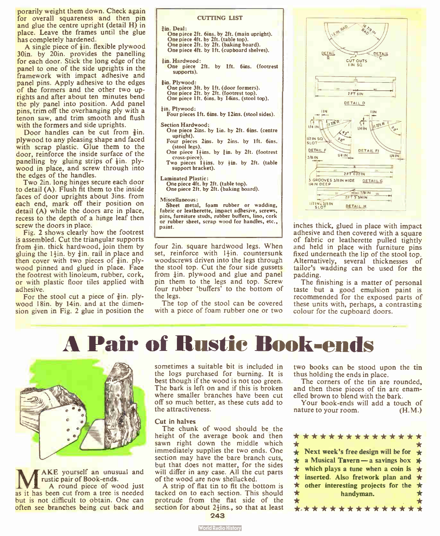porarily weight them down. Check again for overall squareness and then pin and glue the centre upright (detail H) in place. Leave the frames until the glue has completely hardened.

A single piece of  $\frac{1}{2}$ in. flexible plywood 30in. by 20in. provides the panelling for each door. Stick the long edge of the panel to one of the side uprights in the framework with impact adhesive and panel pins. Apply adhesive to the edges of the formers and the other two uprights and after about ten minutes bend the ply panel into position. Add panel pins, trim off the overhanging ply with a tenon saw, and trim smooth and flush with the formers and side uprights.

Door handles can be cut from  $\frac{3}{2}$ in. plywood to any pleasing shape and faced with scrap plastic. Glue them to the door, reinforce the inside surface of the panelling by gluing strips of  $\frac{1}{2}$ in. plywood in place, and screw through into the edges of the handles.

Two 2in. long hinges secure each door to detail  $(A)$ . Flush fit them to the inside faces of door uprights about 3ins. from each end, mark off their position on detail (A) while the doors are in place, recess to the depth of a hinge leaf then screw the doors in place.

Fig. 2 shows clearly how the footrest is assembled. Cut the triangular supports from  $\frac{3}{2}$ in, thick hardwood, join them by gluing the  $1\frac{1}{2}$ in. by  $\frac{3}{4}$ in. rail in place and then cover with two pieces of  $\frac{3}{8}$ in, plywood pinned and glued in place. Face the footrest with linoleum, rubber, cork, or with plastic floor tiles applied with adhesive.

For the stool cut a piece of  $\frac{3}{2}$ in. plywood 18in. by 14in. and at the dimension given in Fig. 2 glue in position the

| <b>CUTTING LIST</b>                                                                                                                                                                                                                                                                |
|------------------------------------------------------------------------------------------------------------------------------------------------------------------------------------------------------------------------------------------------------------------------------------|
| 3in. Deal:<br>One piece 2ft. 6ins. by 2ft. (main upright).<br>One piece 4ft. by 2ft. (table top).<br>One piece 2ft, by 2ft. (baking board).<br>One piece 4ft, by 1ft, (cupboard shelves).                                                                                          |
| din. Hardwood:<br>One piece 2ft. by 1ft. 6ins. (footrest<br>supports).                                                                                                                                                                                                             |
| <b>in. Plywood:</b><br>One piece 3ft, by 1ft, (door formers).<br>One piece 2ft. by 2ft. (footrest top).<br>One piece 1ft. 6ins. by 14ins. (stool top).                                                                                                                             |
| tin. Plywood:<br>Four pieces 1ft. 6ins, by 12ins, (stool sides).                                                                                                                                                                                                                   |
| <b>Section Hardwood:</b><br>One piece 2ins. by 1in. by 2ft. 6ins. (centre<br>upright).<br>Four pieces 2ins. by 2ins. by 1ft. 6ins.<br>(stool legs).<br>One piece 1+ins, by 1in. by 2ft. (footrest<br>cross-piece).<br>Two pieces 1 ins. by in. by 2ft. (table<br>support bracket). |
| <b>Laminated Plastic:</b><br>One piece 4ft, by 2ft, (table top).<br>One piece 2ft, by 2ft. (baking board).                                                                                                                                                                         |
| Miscellaneous:<br>Sheet metal, foam rubber or wadding,<br>fabric or leatherette, impact adhesive, screws,<br>pins, furniture studs, rubber buffers, lino, cork<br>or rubber sheet, scrap wood for handles, etc.,<br>paint.                                                         |

four 2in. square hardwood legs. When set, reinforce with  $1\frac{1}{2}$ in. countersunk woodscrews driven into the legs through the stool top. Cut the four side gussets from  $\frac{1}{2}$ in. plywood and glue and panel pin them to the legs and top. Screw four rubber 'buffers' to the bottom of the legs.

The top of the stool can be covered with a piece of foam rubber one or two



inches thick, glued in place with impact adhesive and then covered with a square of fabric or leatherette pulled tightly and held in place with furniture pins fixed underneath the lip of the stool top. Alternatively, several thicknesses of tailor's wadding can be used for the padding.

The finishing is a matter of personal taste but a good emulsion paint is recommended for the exposed parts of these units with, perhaps, a contrasting colour for the cupboard doors.

## A Pair of Rustic Book-ends



MAKE yourself an unusual and<br>
rustic pair of Book-ends.<br>
as it has been cut from a tree is needed AKE yourself an unusual and rustic pair of Book-ends. A round piece of wood just but is not difficult to obtain. One can often see branches being cut back and

sometimes a suitable bit is included in the logs purchased for burning. It is best though if the wood is not too green. The bark is left on and if this is broken where smaller branches have been cut off so much better, as these cuts add to the attractiveness.

#### Cut in halves

The chunk of wood should be the height of the average book and then sawn right down the middle which immediately supplies the two ends. One section may have the bare branch cuts, but that does not matter, for the sides will differ in any case. All the cut parts of the wood are now shellacked.

A strip of flat tin to fit the bottom is tacked on to each section. This should protrude from the flat side of the section for about 2<sup>1</sup>ins., so that at least 243

two books can be stood upon the tin thus holding the ends in place.

The corners of the tin are rounded, and then these pieces of tin are enamelled brown to blend with the bark.

Your book-ends will add a touch of nature to your room. (H.M.)

|         | * * * * * * * * * * * * * * *                       |         |
|---------|-----------------------------------------------------|---------|
| $\star$ |                                                     | $\star$ |
|         | $\star$ Next week's free design will be for $\star$ |         |
|         | $\star$ a Musical Tavern - a savings box $\star$    |         |
|         | $\star$ which plays a tune when a coin is $\star$   |         |
|         | $\star$ inserted. Also fretwork plan and $\star$    |         |
|         | $\star$ other interesting projects for the $\star$  |         |
| $\star$ | handvman.                                           | $\star$ |
| $\star$ |                                                     | $\star$ |
|         | ****************                                    |         |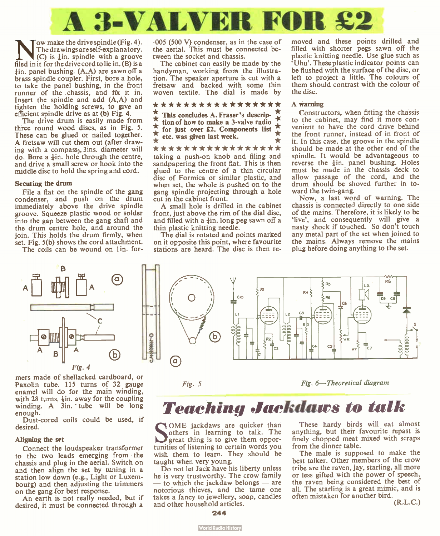

ow make the drive spindle (Fig. 4). The drawings are self-explanatory.  $(C)$  is  $\frac{1}{2}$ in, spindle with a groove filed in it for the drive cord to lie in. (B) is a lin, panel bushing. (A,A) are sawn off a brass spindle coupler. First, bore a hole, to take the panel bushing, in the front runner of the chassis, and fix it in. Insert the spindle and add (A,A) and tighten the holding screws, to give an efficient spindle drive as at (b) Fig. 4.

The drive drum is easily made from three round wood discs, as in Fig. 5. These can be glued or nailed together. A fretsaw will cut them out (after drawing with a compass), 3ins. diameter will do. Bore a  $\pm$ in, hole through the centre, and drive a small screw or hook into the middle disc to hold the spring and cord.

#### Securing the drum

File a flat on the spindle of the gang condenser, and push on the drum immediately above the drive spindle groove. Squeeze plastic wood or solder into the gap between the gang shaft and the drum centre hole, and around the join. This holds the drum firmly, when set. Fig. 5(b) shows the cord attachment.

The coils can be wound on 1 in. for-



mers made of shellacked cardboard, or Paxolin tube. 115 turns of 32 gauge enamel will do for the main winding, with 28 turns,  $\frac{1}{2}$ in. away for the coupling winding. A 3in. 'tube will be long enough.

Dust-cored coils could be used, if desired.

#### Aligning the set

Connect the loudspeaker transformer to the two leads emerging from the chassis and plug in the aerial. Switch on and then align the set by tuning in a station low down (e.g., Light or Luxembourg) and then adjusting the trimmers on the gang for best response.

An earth is not really needed, but if desired, it must be connected through a

.005 ( 500 V) condenser, as in the case of the aerial. This must be connected between the socket and chassis.

The cabinet can easily be made by the handyman, working from the illustration. The speaker aperture is cut with a fretsaw and backed with some thin woven textile. The dial is made by

### \*\*\*\*\*\*\*\*\*\*\*\*\*\*\*\*\*<br>\* mus conduite \* Fearath decate \*

 $\frac{1}{\pi}$  This concludes A. Fraser's descrip- $\uparrow$  tion of how to make a 3-valve radio  $\downarrow$  $\frac{1}{\lambda}$  for just over £2. Components list  $\frac{1}{\lambda}$ etc. was given last week.  $\bigstar$ 

\* \* \* \* \* \* \* \* \* \* \* \* \* \* \* \* taking a push-on knob and filing and sandpapering the front flat. This is then glued to the centre of a thin circular disc of Formica or similar plastic, and when set, the whole is pushed on to the gang spindle projecting through a hole cut in the cabinet front.

A small hole is drilled in the cabinet front, just above the rim of the dial disc, and filled with a  $\frac{1}{2}$ in. long peg sawn off a thin plastic knitting needle.

The dial is rotated and points marked on it opposite this point, where favourite stations are heard. The disc is then re-

moved and these points drilled and filled with shorter pegs sawn off the plastic knitting needle. Use glue such as `Uhu'. These plastic indicator points can be flushed with the surface of the disc, or left to project a little. The colours of them should contrast with the colour of the disc.

#### A warning

Constructors, when fitting the chassis to the cabinet, may find it more convenient to have the cord drive behind the front runner, instead of in front of it. In this case, the groove in the spindle should be made at the other end of the spindle. It would be advantageous to reverse the  $\pm$ in, panel bushing. Holes must be made in the chassis deck to allow passage of the cord, and the drum should be shoved further in toward the twin-gang.

Now, a last word of warning. The chassis is connected directly to one side of the mains. Therefore, it is likely to be 'live', and consequently will give a nasty shock if touched. So don't touch any metal part of the set when joined to the mains. Always remove the mains plug before doing anything to the set.



Fig. 5 Fig. 6—Theoretical diagram

## Teaching Jackdaws to talk

SOME jackdaws are quicker than<br>others in learning to talk. The<br>interact thing is to give them opporgreat thing is to give them opportunities of listening to certain words you wish them to learn. They should be taught when very young.

Do not let Jack have his liberty unless he is very trustworthy. The crow family — to which the jackdaw belongs — are notorious thieves, and the tame one takes a fancy to jewellery, soap, candles and other household articles.

These hardy birds will eat almost anything, but their favourite repast is finely chopped meat mixed with scraps from the dinner table.

The male is supposed to make the best talker. Other members of the crow tribe are the raven, jay, starling, all more or less gifted with the power of speech, the raven being considered the best of all. The starling is a great mimic, and is often mistaken for another bird.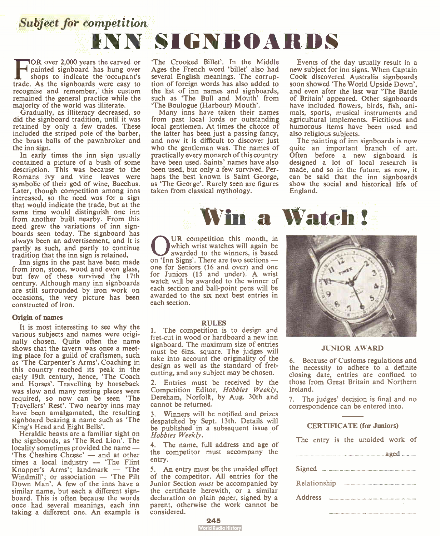

TOR over 2,000 years the carved or<br>painted signboard has hung over<br>shops to indicate the occupant's<br>trade. As the signboards were easy to OR over 2,000 years the carved or painted signboard has hung over shops to indicate the occupant's recognise and remember, this custom remained the general practice while the majority of the world was illiterate.

Gradually, as illiteracy decreased, so did the signboard tradition, until it was retained by only a few trades. These included the striped pole of the barber, the brass balls of the pawnbroker and the inn sign.

In early times the inn sign usually contained a picture of a bush of some description. This was because to the Romans ivy and vine leaves were symbolic of their god of wine, Bacchus. Later, though competition among inns increased, so the need was for a sign that would indicate the trade, but at the same time would distinguish one inn from another built nearby. From this need grew the variations of inn signboards seen today. The signboard has always been an advertisement, and it is partly as such, and partly to continue tradition that the inn sign is retained.

Inn signs in the past have been made from iron, stone, wood and even glass, but few of these survived the 17th century. Although many inn signboards are still surrounded by iron work on occasions, the very picture has been constructed of iron.

#### Origin of names

It is most interesting to see why the various subjects and names were originally chosen. Quite often the name shows that the tavern was once a meeting place for a guild of craftsmen, such as 'The Carpenter's Arms'. Coaching in this country reached its peak in the early 19th century, hence, 'The Coach and Horses'. Travelling by horseback was slow and many resting places were required, so now can be seen 'The Travellers' Rest'. Two nearby inns may have been amalgamated, the resulting signboard bearing a name such as 'The King's Head and Eight Bells'.

Heraldic beasts are a familiar sight on the signboards, as 'The Red Lion'. The locality sometimes provided the name — 'The Cheshire Cheese' — and at other times a local industry — ' The Flint Knapper's Arms'; landmark — 'The Windmill'; or association — 'The Pilt Down Man'. A few of the inns have a similar name, but each a different signboard. This is often because the words once had several meanings, each inn taking a different one. An example is

'The Crooked Billet'. In the Middle Ages the French word 'billet' also had several English meanings. The corruption of foreign words has also added to the list of inn names and signboards, such as 'The Bull and Mouth' from 'The Boulogue (Harbour) Mouth'.

Many inns have taken their names from past local lords or outstanding local gentlemen. At times the choice of the latter has been just a passing fancy, and now it is difficult to discover just who the gentleman was. The names of practically every monarch of this country have been used. Saints' names have also been used, but only a few survived. Perhaps the best known is Saint George, as 'The George'. Rarely seen are figures taken from classical mythology.

OR competition this month, in which wrist watches will again be awarded to the winners, is based on 'Inn Signs'. There are two sections — UR competition this month, in which wrist watches will again be awarded to the winners, is based one for Seniors (16 and over) and one for Juniors (15 and under). A wrist watch will be awarded to the winner of each section and ball-point pens will be awarded to the six next best entries in each section.

#### RULES

I. The competition is to design and fret-cut in wood or hardboard a new inn signboard. The maximum size of entries must be 6ins. square. The judges will take into account the originality of the design as well as the standard of fretcutting, and any subject may be chosen.

2. Entries must be received by the Competition Editor, Hobbies Weekly, Dereham, Norfolk, by Aug. 30th and cannot be returned.

Winners will be notified and prizes despatched by Sept. 13th. Details will be published in a subsequent issue of Hobbies Weekly.

4. The name, full address and age of the competitor must accompany the entry.

5. An entry must be the unaided effort of the competitor. All entries for the Junior Section *must* be accompanied by the certificate herewith, or a similar declaration on plain paper, signed by a parent, otherwise the work cannot be considered.

245<br>World Radio History

Events of the day usually result in a new subject for inn signs. When Captain Cook discovered Australia signboards soon showed 'The World Upside Down', and even after the last war 'The Battle of Britain' appeared. Other signboards have included flowers, birds, fish, animals, sports, musical instruments and agricultural implements. Fictitious and humorous items have been used and also religious subjects.

The painting of inn signboards is now quite an important branch of art. Often before a new signboard is designed a lot of local research is made, and so in the future, as now, it can be said that the inn signboards show the social and historical life of England.



#### JUNIOR AWARD

6. Because of Customs regulations and the necessity to adhere to a definite closing date, entries are confined to those from Great Britain and Northern Ireland.

7. The judges' decision is final and no correspondence can be entered into.

#### CERTIFICATE (for Juniors)

| The entry is the unaffect work of |  |  |
|-----------------------------------|--|--|
|                                   |  |  |
|                                   |  |  |
|                                   |  |  |
| Address                           |  |  |
|                                   |  |  |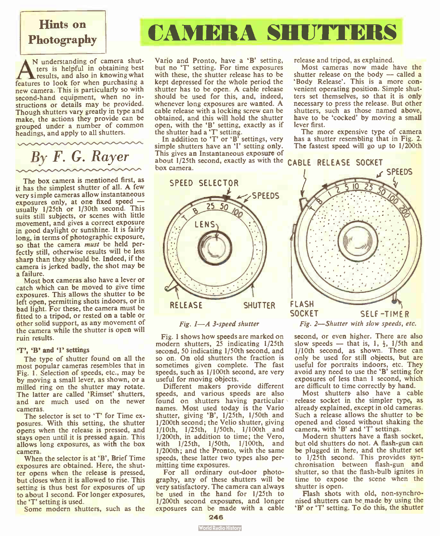# Hints on

A understanding of camera sinu-<br>results, and also in knowing what<br>features to look for when purchasing a N understanding of camera shutters is helpful in obtaining best results, and also in knowing what new camera. This is particularly so with second-hand equipment, when no instructions or details may be provided. Though shutters vary greatly in type and make, the actions they provide can be grouped under a number of common headings, and apply to all shutters.

By F. G. Rayer

The box camera is mentioned first, as it has the simplest shutter of all. A few very simple cameras allow instantaneous exposures only, at one fixed speed usually 1/25th or 1/30th second. This suits still subjects, or scenes with little movement, and gives a correct exposure in good daylight or sunshine. It is fairly long, in terms of photographic exposure, so that the camera must be held perfectly still, otherwise results will be less sharp than they should be. Indeed, if the camera is jerked badly, the shot may be a failure.

Most box cameras also have a lever or catch which can be moved to give time exposures. This allows the shutter to be left open, permitting shots indoors, or in bad light. For these, the camera must be fitted to a tripod, or rested on a table or other solid support, as any movement of the camera while the shutter is open will ruin results.

#### 'T', 'B' and 'I' settings

The type of shutter found on all the most popular cameras resembles that in Fig. 1. Selection of speeds, etc., may be by moving a small lever, as shown, or a milled ring on the shutter may rotate. The latter are called 'Rimset' shutters, and are much used on the newer cameras.

The selector is set to 'T' for Time exposures. With this setting, the shutter opens when the release is pressed, and stays open until it is pressed again. This allows long exposures, as with the box camera.

When the selector is at 'B', Brief Time exposures are obtained. Here, the shutter opens when the release is pressed, but closes when it is allowed to rise. This setting is thus best for exposures of up to about 1 second. For longer exposures, the 'T' setting is used.

Some modern shutters, such as the

## Photography **CAMERA SHUTTERS**

Vario and Pronto, have a 'B' setting, but no 'I' setting. For time exposures with these, the shutter release has to be kept depressed for the whole period the shutter has to be open. A cable release should be used for this, and, indeed, whenever long exposures are wanted. A cable release with a locking screw can be obtained, and this will hold the shutter obtained, and this will hold the shutter<br>open, with the 'B' setting, exactly as if

the shutter had a 'T' setting.<br>In addition to 'T' or 'B' settings, very simple shutters have an 'I' setting only. This gives an Instantaneous exposure of about 1/25th second, exactly as with the CABLE RELEASE SOCKET box camera.



#### Fig. I—A 3-speed shutter

Fig. 1 shows how speeds are marked on modern shutters, 25 indicating 1/25th second, 50 indicating 1/50th second, and so on. On old shutters the fraction is sometimes given complete. The fast speeds, such as 1/100th second, are very useful for moving objects.

Different makers provide different speeds, and various speeds are also found on shutters having particular names. Most used today is the Vario shutter, giving 'B', 1/25th, 1/50th and<br>1/200th second; the Velio shutter, giving 1/10th, 1/25th, 1/50th, 1/100th and 1/200th, in addition to time; the Vero, with 1/25th, 1/50th, 1/100th, and 1/200th; and the Pronto, with the same speeds, these latter two types also permitting time exposures.

For all ordinary out-door photography, any of these shutters will be very satisfactory. The camera can always be used in the hand for 1/25th to 1/200th second exposures, and longer exposures can be made with a cable release and tripod, as explained.

Most cameras now made have the shutter release on the body — called a 'Body Release'. This is a more convenient operating position. Simple shutters set themselves, so that it is only necessary to press the release. But other shutters, such as those named above, have to be 'cocked' by moving a small lever first.

The more expensive type of camera has a shutter resembling that in Fig. 2. The fastest speed will go up to 1/200th



Fig. 2—Shutter with slow speeds, etc.

second, or even higher. There are also slow speeds — that is,  $1, \frac{1}{2}$ ,  $1/5$ th and 1/10th second, as shown. These can only be used for still objects, but are useful for portraits indoors, etc. They<br>avoid any need to use the 'B' setting for exposures of less than 1 second, which are difficult to time correctly by hand.

Most shutters also have a cable<br>release socket in the simpler type, as already explained, except in old cameras. Such a release allows the shutter to be opened and closed without shaking the camera, with 'B' and 'T' settings.

Modern shutters have a flash socket, but old shutters do not. A flash-gun can be plugged in here, and the shutter set<br>to 1/25th second. This provides synchronisation between flash-gun and shutter, so that the flash-bulb ignites in time to expose the scene when the shutter is open.

Flash shots with old, non-synchronised shutters can be made by using the 'B' or 'T' setting. To do this, the shutter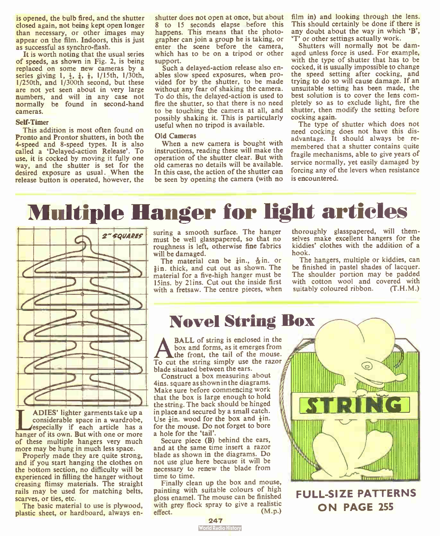is opened, the bulb fired, and the shutter closed again, not being kept open longer than necessary, or other images may appear on the film. Indoors, this is just as successful as synchro-flash.

It is worth noting that the usual series of speeds, as shown in Fig. 2, is being replaced on some new cameras by a series giving 1,  $\frac{1}{2}$ ,  $\frac{1}{3}$ ,  $\frac{1}{3}$ , 1/15th, 1/30th, 1/250th, and 1/300th second, but these are not yet seen about in very large numbers, and will in any case not normally be found in second-hand cameras.

#### Self-Timer

This addition is most often found on Pronto and Prontor shutters, in both the 4-speed and 8-speed types. It is also called a 'Delayed-action Release'. To use, it is cocked by moving it fully one way, and the shutter is set for the desired exposure as usual. When the release button is operated, however, the

shutter does not open at once, but about 8 to 15 seconds elapse before this happens. This means that the photographer can join a group he is taking, or enter the scene before the camera, which has to be on a tripod or other support.

Such a delayed-action release also enables slow speed exposures, when provided for by the shutter, to be made without any fear of shaking the camera. To do this, the delayed-action is used to fire the shutter, so that there is no need to be touching the camera at all, and possibly shaking it. This is particularly useful when no tripod is available.

#### Old Cameras

When a new camera is bought with instructions, reading these will make the operation of the shutter clear. But with old cameras no details will be available. In this case, the action of the shutter can be seen by opening the camera (with no film in) and looking through the lens. This should certainly be done if there is any doubt about the way in which  $B'$ , 'T' or other settings actually work.

Shutters will normally not be damaged unless force is used. For example, with the type of shutter that has to be cocked, it is usually impossible to change the speed setting after cocking, and trying to do so will cause damage. If an unsuitable setting has been made, the best solution is to cover the lens completely so as to exclude light, fire the shutter, then modify the setting before cocking again.

The type of shutter which does not need cocking does not have this disadvantage. It should always be remembered that a shutter contains quite fragile mechanisms, able to give years of service normally, yet easily damaged by forcing any of the levers when resistance is encountered.

## Multiple Hanger for light articles



ADIES' lighter garments take up a<br>considerable space in a wardrobe,<br>sespecially if each article has a<br>hanger of its own. But with one or more ADIES' lighter garments take up a considerable space in a wardrobe, especially if each article has a of these multiple hangers very much more may be hung in much less space.

Properly made they are quite strong, and if you start hanging the clothes on the bottom section, no difficulty will be experienced in filling the hanger without creasing flimsy materials. The straight rails may be used for matching belts, scarves, or ties, etc.

The basic material to use is plywood, plastic sheet, or hardboard, always ensuring a smooth surface. The hanger must be well glasspapered, so that no roughness is left, otherwise fine fabrics will be damaged.

The material can be  $\frac{1}{4}$ in.,  $\frac{5}{16}$ in. or  $\frac{3}{2}$ in. thick, and cut out as shown. The material for a five-high hanger must be 15ins. by 21ins. Cut out the inside first with a fretsaw. The centre pieces, when thoroughly glasspapered, will themselves make excellent hangers for the kiddies' clothes with the addition of a hook.

The hangers, multiple or kiddies, can be finished in pastel shades of lacquer. The shoulder portion may be padded with cotton wool and covered with suitably coloured ribbon. (T.H.M.)

### Novel String Box

BALL of string is enclosed in the box and forms, as it emerges from the front, the tail of the mouse. To cut the string simply use the razor blade situated between the ears.

Construct a box measuring about 4ins. square as shown in the diagrams. Make sure before commencing work that the box is large enough to hold the string. The back should be hinged in place and secured by a small catch. Use  $\frac{1}{2}$ in, wood for the box and  $\frac{1}{2}$ in. for the mouse. Do not forget to bore a hole for the 'tail'.

Secure piece (B) behind the ears, and at the same time insert a razor blade as shown in the diagrams. Do not use glue here because it will be necessary to renew the blade from time to time.

Finally clean up the box and mouse, painting with suitable colours of high gloss enamel. The mouse can be finished with grey flock spray to give a realistic<br>effect. (M.p.)



FULL-SIZE PATTERNS ON PAGE 255

**247**<br>World Radio History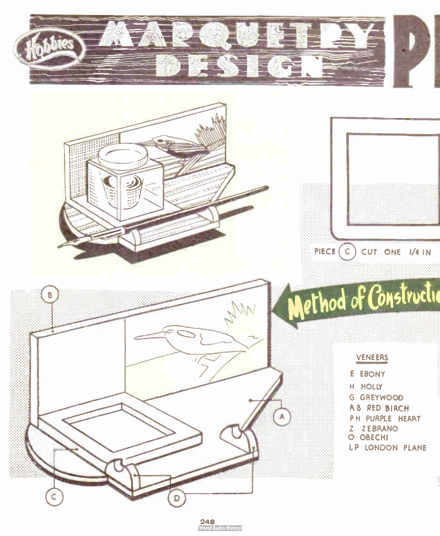

248 **World Radio History**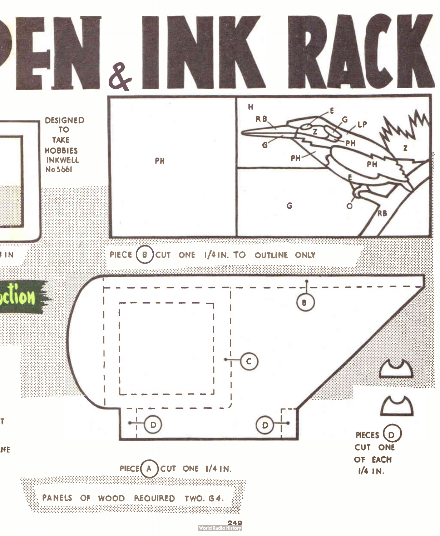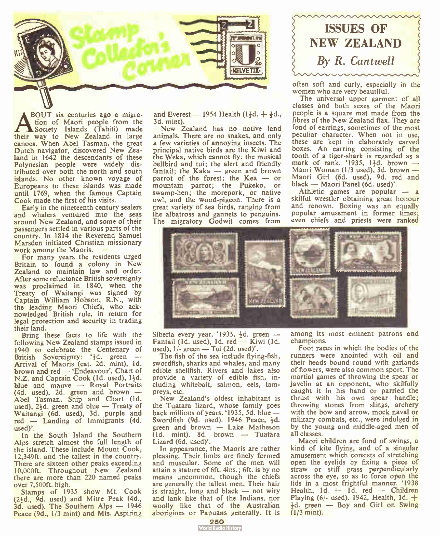

BOUT six centuries ago a migration of Maori people from the Society Islands (Tahiti) made their way to New Zealand in large canoes. When Abel Tasman, the great Dutch navigator, discovered New Zealand in 1642 the descendants of these Polynesian people were widely distributed over both the north and south islands. No other known voyage of Europeans to these islands was made until 1769, when the famous Captain Cook made the first of his visits.

Early in the nineteenth century sealers and whalers ventured into the seas around New Zealand, and some of their passengers settled in various parts of the country. In 1814 the Reverend Samuel Marsden initiated Christian missionary work among the Maoris.

For many years the residents urged Britain to found a colony in New Zealand to maintain law and order. After some reluctance British sovereignty was proclaimed in 1840, when the Treaty of Waitangi was signed by Captain William Hobson, R.N., with the leading Maori Chiefs, who acknowledged British rule, in return for legal protection and security in trading their land.

Bring these facts to life with the following New Zealand stamps issued in 1940 to celebrate the Centenary of British Sovereignty: 40. green —<br>Arrival of Maoris (cat. 2d. mint), 1d. brown and red - 'Endeavour', Chart of N.Z. and Captain Cook (1d. used), 1<sup>1</sup>/<sub>2</sub>d. blue and mauve — Royal Portraits (4d. used), 2d. green and brown — Abel Tasman, Ship and Chart (1d. used),  $2\frac{1}{2}d$ . green and blue - Treaty of Waitangi (6d. used), 3d, purple and red — Landing of Immigrants (4d. used)'.

In the South Island the Southern Alps stretch almost the full length of the island. These include Mount Cook, 12,349ft. and the tallest in the country. There are sixteen other peaks exceeding 10,000ft. Throughout New Zealand there are more than 220 named peaks over 7,500ft. high.

Stamps of 1935 show Mt. Cook  $(2<sup>1</sup><sub>4</sub>d., 9d. used)$  and Mitre Peak  $(4d.,$ 3d. used). The Southern Alps — 1946 Peace (9d., 1/3 mint) and Mts. Aspiring

and Everest — 1954 Health  $(1\frac{1}{2}d. + \frac{1}{2}d.$ 3d. mint).

New Zealand has no native land animals. There are no snakes, and only a few varieties of annoying insects. The principal native birds are the Kiwi and the Weka, which cannot fly; the musical bellbird and tui; the alert and friendly fantail; the Kaka — green and brown parrot of the forest; the Kea — or mountain parrot; the Pukeko, or swamp-hen; the morepork, or native owl, and the wood-pigeon. There is a great variety of sea birds, ranging from the albatross and gannets to penguins. The migratory Godwit comes from



often soft and curly, especially in the women who are very beautiful.

The universal upper garment of all classes and both sexes of the Maori people is a square mat made from the fibres of the New Zealand flax. They are fond of earrings, sometimes of the most peculiar character. When not in use, these are kept in elaborately carved boxes. An earring consisting of the tooth of a tiger-shark is regarded as a mark of rank. ' $1935$ ,  $1\frac{1}{2}d$ . brown — Maori Woman ( $1/3$  used), 3d. brown — Maori Girl (6d. used), 9d. red and black — Maori Panel (6d. used)'.

Athletic games are popular — a skilful wrestler obtaining great honour and renown. Boxing was an equally popular amusement in former times; even chiefs and priests were ranked



Siberia every year. '1935,  $\frac{1}{2}d$ . green — Fantail (1d. used), 1d.  $red -$  Kiwi (1d. used),  $1/-$  green — Tui (2d. used)'.

The fish of the sea include flying-fish, swordfish, sharks and whales, and many edible shellfish. Rivers and lakes also provide a variety of edible fish, including whitebait, salmon, eels, lampreys, etc.

New Zealand's oldest inhabitant is the Tuatara lizard, whose family goes back millions of years. '1935, 5d. blue — Swordfish (9d. used). 1946 Peace,  $\frac{1}{2}d$ . green and brown — Lake Matheson (Id. mint). 8d. brown — Tuatara Lizard (6d. used)'.

In appearance, the Maoris are rather pleasing. Their limbs are finely formed and muscular. Some of the men will attain a stature of 6ft. 4ins.; 6ft. is by no means uncommon, though the chiefs are generally the tallest men. Their hair is straight, long and black — not wiry and lank like that of the Indians, nor woolly like that of the Australian aborigines or Papuans generally. It is

among its most eminent patrons and champions.

Foot races in which the bodies of the runners were anointed with oil and their heads bound round with garlands of flowers, were also common sport. The martial games of throwing the spear or javelin at an opponent, who skilfully caught it in his hand or parried the thrust with his own spear handle; throwing stones from slings, archery with the bow and arrow, mock naval or military combats, etc., were indulged in by the young and middle-aged men of all classes.

Maori children are fond of swings, a kind of kite flying, and of a singular amusement which consists of stretching open the eyelids by fixing a piece of straw or stiff grass perpendicularly across the eye, so as to force open the lids in a most frightful manner. '1938 Health,  $1d. + 1d.$  red - Children Playing (6/- used). 1942, Health, 1d.  $+$ Id. green — Boy and Girl on Swing (1/3 mint).

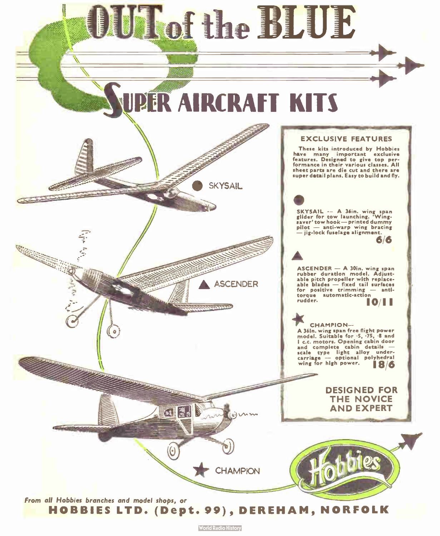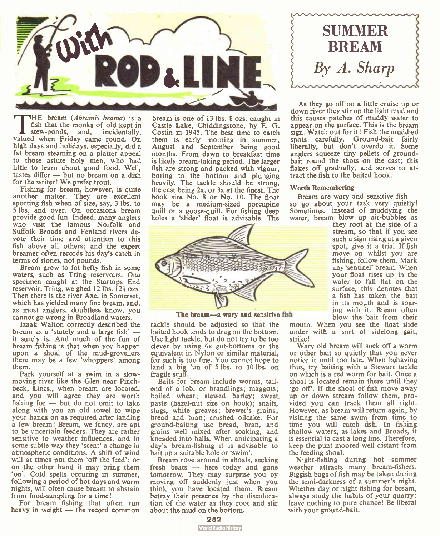

THE bream (Abramis brama) is a<br>
fish that the monks of old kept in<br>
stew-ponds, and, incidentally,<br>
valued when Friday came round. On HE bream (*Abramis brama*) is a fish that the monks of old kept in high days and holidays, especially, did a fat bream steaming on a platter appeal to those astute holy men, who had little to learn about good food. Well, tastes differ — but no bream on a dish for the writer! We prefer trout.

Fishing for bream, however, is quite another matter. They are excellent sporting fish when of size, say, 3 lbs. to 5 lbs. and over. On occasions bream provide good fun. Indeed, many anglers who visit the famous Norfolk and Suffolk Broads and Fenland rivers devote their time and attention to this fish above all others; and the expert breamer often records his day's catch in terms of stones, not pounds.

Bream grow to fat hefty fish in some waters, such as Tring reservoirs. One specimen caught at the Startops End reservoir, Tring, weighed 12 lbs.  $12\frac{1}{2}$  ozs. Then there is the river Axe, in Somerset, which has yielded many fine bream, and, as most anglers, doubtless know, you cannot go wrong in Broadland waters.

Izaak Walton correctly described the bream as a 'stately and a large fish' it surely is. And much of the fun of bream fishing is that when you happen upon a shoal of the mud-grovellers there may be a few 'whoppers' among them.

Park yourself at a swim in a slowmoving river like the Glen near Pinchbeck, Lincs., when bream are located, and you will agree they are worth fishing for — but do not omit to take along with you an old towel to wipe your hands on as required after landing a few bream! Bream, we fancy, are apt to be uncertain feeders. They are rather sensitive to weather influences, and in some subtle way they 'scent' a change in atmospheric conditions. A shift of wind will at times put them 'off the feed'; or on the other hand it may bring them 'on'. Cold spells occuring in summer, following a period of hot days and warm nights, will often cause bream to abstain from food-sampling for a time!

For bream fishing that often run heavy in weight — the record common

bream is one of 13 lbs. 8 ozs. caught in Castle Lake, Chiddingstone, by E. G. Costin in 1945. The best time to catch them is early morning in summer, August and September being good months. From dawn to breakfast time is likely bream-taking period. The larger fish are strong and packed with vigour, boring to the bottom and plunging heavily. The tackle should be strong, the cast being 2x, or 3x at the finest. The hook size No. 8 or No. 10. The float may be a medium-sized porcupine quill or a goose-quill. For fishing deep holes a 'slider' float is advisable. The



The bream—a wary and sensitive fish

tackle should be adjusted so that the baited hook tends to drag on the bottom. Use light tackle, but do not try to be too clever by using 6x gut- bottoms or the equivalent in Nylon or similar material, for such is too fine. You cannot hope to land a big 'un of 5 lbs. to 10 lbs. on fragile stuff.

Baits for bream include worms, tailend of a lob, or brandlings; maggots; boiled wheat; stewed barley; sweet paste (hazel-nut size on hook); snails, slugs, white greaves; brewer's grains; bread and bran; crushed oilcake. For ground-baiting use bread, bran, and grains well mixed after soaking, and kneaded into balls. When anticipating a day's bream-fishing it is advisable to bait up a suitable hole or 'swim'.

Bream rove around in shoals, seeking fresh beats — here today and gone tomorrow. They may surprise you by moving off suddenly just when you think you have located them. Bream betray their presence by the discoloration of the water as they root and stir about the mud on the bottom.



As they go off on a little cruise up or down river they stir up the light mud and this causes patches of muddy water to appear on the surface. This is the bream sign. Watch out for it! Fish the muddied spots carefully. Ground-bait fairly liberally, but don't overdo it. Some anglers squeeze tiny pellets of groundbait round the shots on the cast; this flakes off gradually, and serves to attract the fish to the baited hook.

#### Worth Remembering

Bream are wary and sensitive fish so go about your task very quietly! Sometimes, instead of muddying the water, bream blow up air-bubbles as

they root at the side of a stream, so that if you see such a sign rising at a given spot, give it a trial. If fish move on whilst you are fishing, follow them. Mark any 'sentinel' bream. When your float rises up in the water to fall flat on the surface, this denotes that a fish has taken the bait in its mouth and is soaring with it. Bream often blow the bait from their

mouth. When you see the float slide under with a sort of sidelong gait, strike!

Wary old bream will suck off a worm or other bait so quietly that you never notice it until too late. When behaving thus, try baiting with a Stewart tackle on which is a red worm for bait. Once a shoal is located remain there until they `go off'. If the shoal of fish move away up or down stream follow them, provided you can track them all right. However, as bream will return again, by visiting the same swim from time to time you will catch fish. In fishing shallow waters, as lakes and Broads, it is essential to cast a long line. Therefore, keep the punt moored well distant from the feeding shoal.

Night-fishing during hot summer weather attracts many bream-fishers. Biggish bags of fish may be taken during the semi-darkness of a summer's night. Whether day or night fishing for bream, always study the habits of your quarry; leave nothing to pure chance! Be liberal with your ground-bait.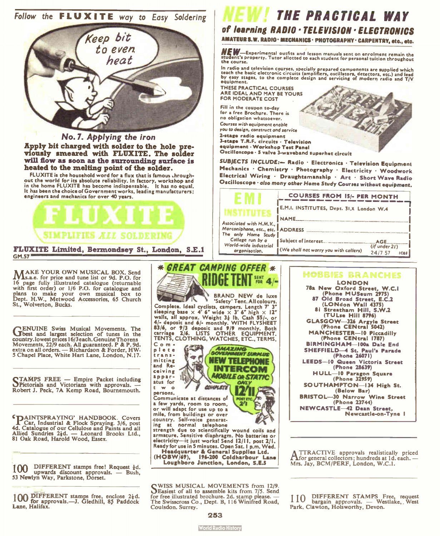



No. 7. Applying the iron Apply bit charged with solder to the hole previously smeared with FLUXITE. The solder will flow as soon as the surrounding surface is heated to the melting point of the solder.

FLUXITE is the household word for a flux that is famous chroughout the world for its absolute reliability. In factory, workshop and in the home FLUXITE has become indispensable. It has no equal. It has been the choice of Government works, leading manufacturers; engineers and mechanics for over 40 years.



**MAKE YOUR OWN MUSICAL BOX. Send Ms.a.e.** for price and tune list or 9d. P.O. for 16 page fully illustrated catalogue ( returnable with first order) or 1/6 P.O. for catalogue and plans to make your own musical box to Dept. H.W., Metwood Accessories, 65 Church St., Wolverton, Bucks.

GENUINE Swiss Musical Movements. The General Adventure of tunes in the country. lowest prices 16/3 each. Genuine Thorens movements, 22/9 each. All guaranteed. P & P. 9d,<br>extra on all orders. — Richardson & Forder, HW.<br>5 Chapel Place, White Hart Lane, London, N.17.

STAMPS FREE — Empire Packet including<br>Spictorials and Victorians with approvals. Robert J. Peck, 7A Kemp Road, Bournemouth.

**CRIAINTSPRAYING' HANDBOOK. Covers I Car, Industrial & Flock Spraying. 3/6, post** 4d. Catalogue of our Cellulose and Paints and all Allied Sundries 21d. — Leonard Brooks Ltd., 81 Oak Road, Harold Wood, Essex.

100 DIFFERENT stamps free! Request 1d. upwards discount approvals. — Bush, 53 Newlyn Way, Parkstone, Dorset.

100 DIFFERENT stamps free, enclose 2<sup>1</sup>d.<br>100 for approvals.—J. Gledhill, 85 Paddock Lane, Halifax.

## THE PRACTICAL WAY

of learning RADIO • TELEVISION • ELECTRONICS

AMATEUR S.W. RADIO · MECHANICS · PHOTOGRAPHY · CARPENTRY, etc., etc.

NEW—Experimental outfits and lesson manuals sent on enrolment remain the<br>student's property. Tutor allotted to each student for personal tuition throughout the course.

reach the basic electronic circuits (amplifiers, oscillators, detectors, etc.) and lead<br>teach the basic electronic circuits (amplifiers, oscillators, detectors, etc.) and lead<br>equipment.

THESE PRACTICAL COURSES ARE IDEAL AND MAY BE YOURS FOR MODERATE COST

Fill in the coupon to-day for a free Brochure. There is no obligation whatsoever. Courses with equipment enable you to design, construct and service 2- stage radio equipment 3.stage T.R.F. circuits • Television

equipment • Workshop Test Panel Oscilloscope · 5 valve 3-waveband superhet circuit

SUBJECTS INCLUDE:— Radio • Electronics • Television Equipment Mechanics Chemistry • Photography • Electricity • Woodwork Electrical Wiring • Draughtsmanship • Art • Short Wave Radio Oscilloscope · also mony other Home Study Courses without equipment.

|                                                           | <b>COURSES FROM 15/- PER MONTH</b>       |               |  |
|-----------------------------------------------------------|------------------------------------------|---------------|--|
|                                                           | E.M.I. INSTITUTES, Dept. 31,X London W.4 |               |  |
| Associated with H.M.V., i                                 | <b>INAME</b>                             |               |  |
| Morconiphone, etc., etc.   ADDRESS<br>The only Home Study |                                          |               |  |
| College run by o<br>World-wide industrial                 | I Subject of interest.                   | AGE           |  |
| orgonisotion.                                             | [ (We sholl not worry you with collers)  | (if under 21) |  |



**MOBILE OR STATIC ONLY** 

Post ster

ceiving apparatus for two CONFLETE persons. Communicate at distances of a few yards, room to room.

or will adapt for use up to a mile, from buildings or over country. Self- voice generat-ing at normal telephone

strength due to scientifically wound coils and armature. Sensitive diaphragm. No batteries or electricity— it just works! Send 12/11, post 2/1. Ready for use in 5 minutes. Open Sat. I p.m. Wed.

Headquarter & General Supplies Ltd. (HOBW/69), 196-200 Coldharbour Lane Loughboro Junction, London, S.E.S

CWISS MUSICAL MOVEMENTS from 12/9. DEasiest of all to assemble kits from 7/5. Send for free illustrated brochure. 2d. stamp please. The Swisscross Co., Dept. B, 116 Winifred Road, Coulsdon. Surrey.

#### **HOBBIES BRANCHES**

LONDON 78a New Oxford Street, W.C.I (Phone MUSeum 2975) 87 Old Broad Street, E.C.2 (LONdon Wall 4375) 81 Streatham Hill, S.W.2 (TULse Hill 8796) GLASGOW 326 Argyle Street (Phone CENtral 5042) **MANCHESTER-10 Piccadilly** (Phone CENtral 1787) BIRMINGHAM- 100a Dale End SHEFFIELD-4 St. Paul's Parade (Phone 26071) LEEDS 10 Queen Victoria Street (Phone 28639) HULL-10 Paragon Square (Phone 32959) SOUTHAMPTON-134 High St. (Below Bar) BRISTOL-30 Narrow Wine Street (Phone 23744) NEWCASTLE-42 Dean Street, Newcastle-on-Tyne I

TTRACTIVE approvals realistically priced rIfor general collectors; hundreds at Id. each. — Mrs. Jay, BCM/PERF, London, W.C.I.

110 DIFFERENT STAMPS Free, request<br>110 bargain approvals. — Westlake, West Park, Clawton, Holsworthy, Devon.

**World Radio History**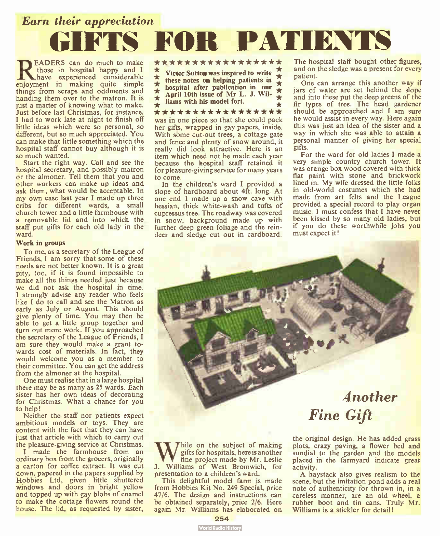Earn their appreciation GIFTS FOR PATIENTS

**READERS** can do much to make<br>have experienced considerable<br>enjoyment in making quite simple EADERS can do much to make those in hospital happy and I have experienced considerable things from scraps and oddments and handing them over to the matron. It is just a matter of knowing what to make. Just before last Christmas, for instance, I had to work late at night to finish off little ideas which were so personal, so different, but so much appreciated. You can make that little something which the hospital staff cannot buy although it is so much wanted.

Start the right way. Call and see the hospital secretary, and possibly matron or the almoner. Tell them that you and other workers can make up ideas and ask them, what would be acceptable. In my own case last year I made up three cribs for different wards, a small church tower and a little farmhouse with a removable lid and into which the staff put gifts for each old lady in the ward.

#### Work in groups

To me, as a secretary of the League of Friends, I am sorry that some of these needs are not better known. It is a great pity, too, if it is found impossible to make all the things needed just because we did not ask the hospital in time. I strongly advise any reader who feels like I do to call and see the Matron as early as July or August. This should give plenty of time. You may then be able to get a little group together and turn out more work. If you approached the secretary of the League of Friends, I am sure they would make a grant towards cost of materials. In fact, they would welcome you as a member to their committee. You can get the address from the almoner at the hospital.

One must realise that in a large hospital there may be as many as 25 wards. Each sister has her own ideas of decorating for Christmas. What a chance for you to help!

Neither the staff nor patients expect ambitious models or toys. They are content with the fact that they can have just that article with which to carry out the pleasure-giving service at Christmas.

I made the farmhouse from an ordinary box from the grocers, originally a carton for coffee extract. It was cut down, papered in the papers supplied by Hobbies Ltd, given little shuttered<br>windows and doors in bright yellow and topped up with gay blobs of enamel to make the cottage flowers round the house. The lid, as requested by sister,

### \* \* \* \* \* \* \* \* \* \* \* \* \* \* \* \* \*

 $\star$  Victor Sutton was inspired to write  $\star$  $\star$  these notes on helping patients in  $\star$  $\hat{I}$  hospital after publication in our  $\hat{I}$  $\triangle$  April 10th issue of Mr L. J. Wil- $\star$  Hams with his model fort.

\* \* \* \* \* \* \* \* \* \* \* \* \* \* \* \* \* was in one piece so that she could pack

her gifts, wrapped in gay papers, inside. With some cut-out trees, a cottage gate and fence and plenty of snow around, it really did look attractive. Here is an item which need not be made each year because the hospital staff retained it for pleasure-giving service for many years to come.

In the children's ward I provided a slope of hardboard about 4ft. long. At one end I made up a snow cave with hessian, thick white-wash and tufts of cupressus tree. The roadway was covered in snow, background made up with further deep green foliage and the reindeer and sledge cut out in cardboard. The hospital staff bought other figures, and on the sledge was a present for every patient.

One can arrange this another way if jars of water are set behind the slope and into these put the deep greens of the fir types of tree. The head gardener should be approached and I am sure he would assist in every way. Here again this was just an idea of the sister and a way in which she was able to attain a personal manner of giving her special gifts.

For the ward for old ladies I made a very simple country church tower. It was orange box wood covered with thick flat paint with stone and brickwork lined in. My wife dressed the little folks in old-world costumes which she had made from art felts and the League provided a special record to play organ music. I must confess that I have never been kissed by so many old ladies, but if you do these worthwhile jobs you must expect it!



We on the subject of making<br>fine project made by Mr. Leslie<br>J. Williams of West Bromwich, for hile on the subject of making gifts for hospitals, here is another fine project made by Mr. Leslie presentation to a children's ward.

This delightful model farm is made from Hobbies Kit No. 249 Special, price 47/6. The design and instructions can be obtained separately, price 2/6. Here again Mr. Williams has elaborated on

the original design. He has added grass plots, crazy paving, a flower bed and sundial to the garden and the models placed in the farmyard indicate great activity.

A haystack also gives realism to the scene, but the imitation pond adds a real note of authenticity for thrown in, in a careless manner, are an old wheel, a rubber boot and tin cans. Truly Mr. Williams is a stickler for detail!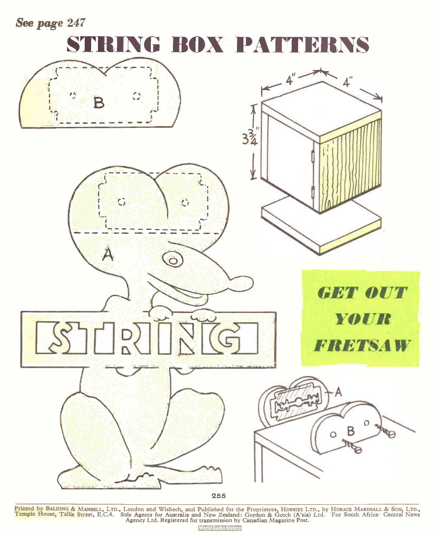See page 247

## STRING BOX PATTERNS



Printed by BALDING & MANSELL, LTD., London and Wisbech, and Published for the Proprietors, Hobbles LTD., by HorACE MARSHALL & Son, LTD.,<br><mark>Temple House, Tallis Stre</mark>et, E.C.4. Sole Agents for Australia and New Zealand: Go

**World Radio History**